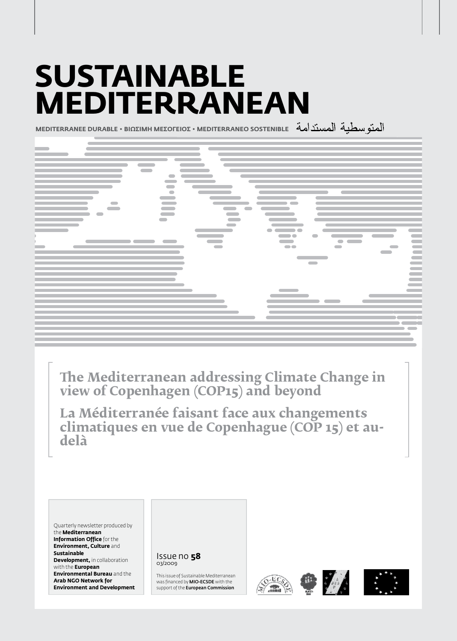# **Sustainable Mediterranean**

**MEDITERRANEE DURABLE • BIΩΣIMH MEΣOΓEIOΣ • MEDITERRANEO SOSTENIBLE**



**The Mediterranean addressing Climate Change in view of Copenhagen (COP15) and beyond**

**La Méditerranée faisant face aux changements climatiques en vue de Copenhague (COP 15) et audelà**

Quarterly newsletter produced by the **Mediterranean Information Office** for the **Environment, Culture** and **Sustainable Development, in collaboration** with the **European Environmental Bureau** and the **Arab NGO Network for Environment and Development**

Issue no **58** 03/2009

This issue of Sustainable Mediterranean was financed by MIO-ECSDE with the support of the **European Commission** 







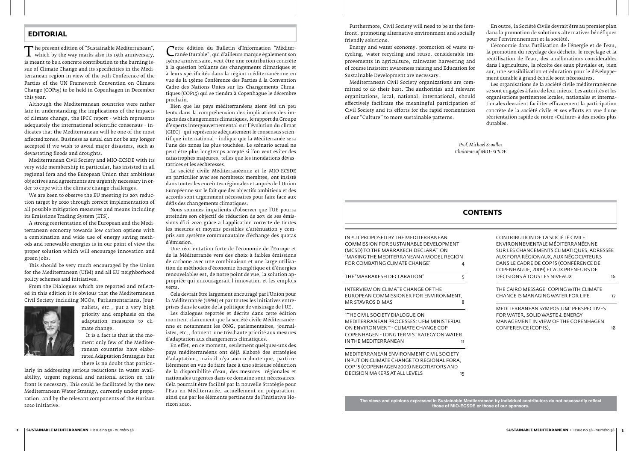The present edition of "Sustainable Mediterranean",<br>
which by the way marks also its 15th anniversary,<br>
is meant to be a concrete contribution to the burning iswhich by the way marks also its 15th anniversary, is meant to be a concrete contribution to the burning issue of Climate Change and its specificities in the Mediterranean region in view of the 15th Conference of the Parties of the UN Framework Convention on Climate Change (COP15) to be held in Copenhagen in December this year.

Although the Mediterranean countries were rather late in understanding the implications of the impacts of climate change, the IPCC report - which represents adequately the international scientific consensus - indicates that the Mediterranean will be one of the most affected zones. Business as usual can not be any longer accepted if we wish to avoid major disasters, such as devastating floods and droughts.

Mediterranean Civil Society and MIO-ECSDE with its very wide membership in particular, has insisted in all regional fora and the European Union that ambitious objectives and agreements are urgently necessary in order to cope with the climate change challenges.

We are keen to observe the EU meeting its 20% reduction target by 2020 through correct implementation of all possible mitigation measures and means including its Emissions Trading System (ETS).

> INTERVIEW ON CLIMATE CHANGE OF THE EUROPEAN COMMISSIONER FOR ENVIRONMENT, MR STAVROS DIMAS 8

"The Civil Society Dialogue on Mediterranean Processes: UfM Ministerial on Environment - Climate Change COP Copenhagen - Long Term Strategy on Water IN THE MEDITERRANEAN

Mediterranean Environment Civil Society input on Climate Change to regional fora, COP 15 (Copenhagen 2009) negotiators and DECISION MAKERS AT ALL LEVELS 15

A strong reorientation of the European and the Mediterranean economy towards low carbon options with a combination and wide use of energy saving methods and renewable energies is in our point of view the proper solution which will encourage innovation and green jobs.

This should be very much encouraged by the Union for the Mediterranean (UfM) and all EU neighborhood policy schemes and initiatives.

From the Dialogues which are reported and reflected in this edition it is obvious that the Mediterranean Civil Society including NGOs, Parliamentarians, Jour-



nalists, etc., put a very high priority and emphasis on the adaptation measures to climate change.

It is a fact is that at the moment only few of the Mediterranean countries have elaborated Adaptation Strategies but there is no doubt that particu-

larly in addressing serious reductions in water availability, urgent regional and national action on this front is necessary. This could be facilitated by the new Mediterranean Water Strategy, currently under preparation, and by the relevant components of the Horizon 2020 Initiative.

# **EDITORIAL**

# **CONTENTS**

Input proposed by the Mediterranean Commission for Sustainable Development (MCSD) to the Marrakech Declaration "Making the Mediterranean a model region for combating climate change" 4

THE "MARRAKESH DECLARATION" 5

| CONTRIBUTION DE LA SOCIÉTÉ CIVILE<br>ENVIRONNEMENTALE MÉDITERRANÉENNE<br>SUR LES CHANGEMENTS CLIMATIQUES, ADRESSÉE<br>AUX FORA RÉGIONAUX, AUX NÉGOCIATEURS<br>DANS LE CADRE DE COP 15 (CONFÉRENCE DE |    |
|------------------------------------------------------------------------------------------------------------------------------------------------------------------------------------------------------|----|
| COPENHAGUE, 2009) ET AUX PRENEURS DE                                                                                                                                                                 |    |
| DÉCISIONS À TOUS LES NIVEAUX                                                                                                                                                                         | 16 |
| THE CAIRO MESSAGE: COPING WITH CLIMATE                                                                                                                                                               |    |
| CHANGE IS MANAGING WATER FOR LIFF                                                                                                                                                                    | 17 |
| <b>MEDITERRANEAN SYMPOSIUM: PERSPECTIVES</b>                                                                                                                                                         |    |
| FOR WATER, SOLID WASTE & ENERGY                                                                                                                                                                      |    |
| MANAGEMENT IN VIEW OF THE COPENHAGEN                                                                                                                                                                 |    |
| CONFERENCE (COP 15).                                                                                                                                                                                 | 18 |

**The views and opinions expressed in Sustainable Mediterranean by individual contributors do not necessarily reflect those of MIO-ECSDE or those of our sponsors.**

Furthermore, Civil Society will need to be at the forefront, promoting alternative environment and socially friendly solutions.

Energy and water economy, promotion of waste recycling, water recycling and reuse, considerable improvements in agriculture, rainwater harvesting and of course insistent awareness raising and Education for Sustainable Development are necessary.

Mediterranean Civil Society organizations are committed to do their best. The authorities and relevant organizations, local, national, international, should effectively facilitate the meaningful participation of Civil Society and its efforts for the rapid reorientation of our "Culture" to more sustainable patterns.

En outre, la Société Civile devrait être au premier plan dans la promotion de solutions alternatives bénéfiques pour l'environnement et la société.

L'économie dans l'utilisation de l'énergie et de l'eau, la promotion du recyclage des déchets, le recyclage et la réutilisation de l'eau, des améliorations considérables dans l'agriculture, la récolte des eaux pluviales et, bien sur, une sensibilisation et éducation pour le développement durable à grand échelle sont nécessaires.

Les organisations de la société civile méditerranéenne se sont engagées à faire de leur mieux. Les autorités et les organisations pertinentes locales, nationales et internationales devraient faciliter efficacement la participation concrète de la société civile et ses efforts en vue d'une réorientation rapide de notre «Culture» à des modes plus durables.

Cette édition du Bulletin d'Information "Méditer-15ème anniversaire, veut être une contribution concrète ranée Durable", qui d'ailleurs marque également son à la question brûlante des changements climatiques et à leurs spécificités dans la région méditerranéenne en vue de la 15ème Conférence des Parties à la Convention Cadre des Nations Unies sur les Changements Climatiques (COP15) qui se tiendra à Copenhague le décembre prochain.

Bien que les pays méditerranéens aient été un peu lents dans la compréhension des implications des impacts des changements climatiques, le rapport du Groupe d'experts intergouvernemental sur l'évolution du climat (GIEC) - qui représente adéquatement le consensus scientifique international - indique que la Méditerranée sera l'une des zones les plus touchées. Le scénario actuel ne peut être plus longtemps accepté si l'on veut éviter des catastrophes majeures, telles que les inondations dévastatrices et les sécheresses.

La société civile Méditerranéenne et le MIO-ECSDE en particulier avec ses nombreux membres, ont insisté dans toutes les enceintes régionales et auprès de l'Union Européenne sur le fait que des objectifs ambitieux et des accords sont urgemment nécessaires pour faire face aux défis des changements climatiques.

Nous sommes impatients d'observer que l'UE pourra atteindre son objectif de réduction de 20% de ses émissions d'ici 2020 grâce à l'application correcte de toutes les mesures et moyens possibles d'atténuation y compris son système communautaire d'échange des quotas d'émission.

Une réorientation forte de l'économie de l'Europe et de la Méditerranée vers des choix à faibles émissions de carbone avec une combinaison et une large utilisation de méthodes d'économie énergétique et d'énergies renouvelables est, de notre point de vue, la solution appropriée qui encouragerait l'innovation et les emplois verts.

Cela devrait être largement encouragé par l'Union pour la Méditerranée (UPM) et par toutes les initiatives entreprises dans le cadre de la politique de voisinage de l'UE.

Les dialogues reportés et décrits dans cette édition montrent clairement que la société civile Méditerranéenne et notamment les ONG, parlementaires, journalistes, etc., donnent une très haute priorité aux mesures d'adaptation aux changements climatiques.

En effet, en ce moment, seulement quelques-uns des pays méditerranéens ont déjà élaboré des stratégies d'adaptation, mais il n'ya aucun doute que, particulièrement en vue de faire face à une sérieuse réduction de la disponibilité d'eau, des mesures régionales et nationales urgentes dans ce domaine sont nécessaires. Cela pourrait être facilité par la nouvelle Stratégie pour l'Eau en Méditerranée, actuellement en préparation, ainsi que par les éléments pertinents de l'initiative Horizon 2020.

*Prof. Michael Scoullos Chairman of MIO-ECSDE*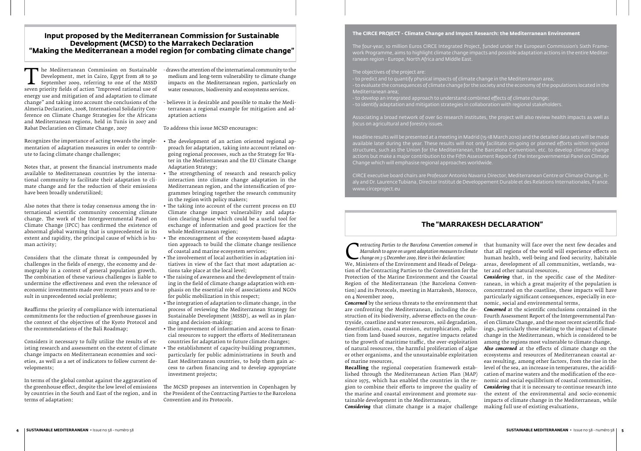Recognizes the importance of acting towards the implementation of adaptation measures in order to contribute to facing climate change challenges;

Notes that, at present the financial instruments made available to Mediterranean countries by the international community to facilitate their adaptation to climate change and for the reduction of their emissions have been broadly underutilized;

Also notes that there is today consensus among the international scientific community concerning climate change. The work of the Intergovernmental Panel on Climate Change (IPCC) has confirmed the existence of abnormal global warming that is unprecedented in its extent and rapidity, the principal cause of which is human activity;

medium and long-term vulnerability to climate change<br>impacts on the Mediterranean region, particularly on impacts on the Mediterranean region, particularly on water resources, biodiversity and ecosystems services.

Considers that the climate threat is compounded by challenges in the fields of energy, the economy and demography in a context of general population growth. The combination of these various challenges is liable to undermine the effectiveness and even the relevance of economic investments made over recent years and to result in unprecedented social problems;

Reaffirms the priority of compliance with international commitments for the reduction of greenhouse gasses in the context of the objectives of the Kyoto Protocol and the recommendations of the Bali Roadmap;

Considers it necessary to fully utilize the results of existing research and assessment on the extent of climate change impacts on Mediterranean economies and societies, as well as a set of indicators to follow current developments;

In terms of the global combat against the aggravation of the greenhouse effect, despite the low level of emissions terms of adaptation:

terranean a regional example for mitigation and adaptation actions

To address this issue MCSD encourages:

*Contracting Parties to the Barcelona Convention convened in*<br> *Change on 3-5 December 2009. Here is their declaration:*<br>
We, Ministers of the Environment and Heads of Delega-<br>
tion of the Contracting Parties to the Conven *Marrakesh to agree on urgent adaptation measures to climate change on 3-5 December 2009. Here is their declaration:*

by countries in the South and East of the region, and in the President of the Contracting Parties to the Barcelona The MCSD proposes an intervention in Copenhagen by Convention and its Protocols.

- The development of an action oriented regional approach for adaptation, taking into account related ongoing regional processes, such as the Strategy for Water in the Mediterranean and the EU Climate Change Adaptation Strategy;
- The strengthening of research and research-policy interaction into climate change adaptation in the Mediterranean region, and the intensification of programmes bringing together the research community in the region with policy makers;
- The taking into account of the current process on EU Climate change impact vulnerability and adaptation clearing house which could be a useful tool for exchange of information and good practices for the whole Mediterranean region;
- The encouragement of the ecosystem-based adaptation approach to build the climate change resilience of coastal and marine ecosystem services;
- The involvement of local authorities in adaptation initiatives in view of the fact that most adaptation actions take place at the local level;
- The raising of awareness and the development of training in the field of climate change adaptation with emphasis on the essential role of associations and NGOs for public mobilization in this respect;
- The integration of adaptation to climate change, in the process of reviewing the Mediterranean Strategy for Sustainable Development (MSSD), as well as in planning and decision-making;
- The improvement of information and access to financial resources to support the efforts of Mediterranean countries for adaptation to future climate changes;
- The establishment of capacity-building programmes, particularly for public administrations in South and East Mediterranean countries, to help them gain access to carbon financing and to develop appropriate investment projects;

## **Input proposed by the Mediterranean Commission for Sustainable Development (MCSD) to the Marrakech Declaration "Making the Mediterranean a model region for combating climate change"**

The Mediterranean Commission on Sustainable<br>Development, met in Cairo, Egypt from 28 to 30<br>September 2009, referring to one of the MSSD<br>seven priority fields of action "Improved rational use of<br>energy use and mitigation of Development, met in Cairo, Egypt from 28 to 30<br>September 2009, referring to one of the MSSD September 2009, referring to one of the MSSD seven priority fields of action "Improved rational use of energy use and mitigation of and adaptation to climate change" and taking into account the conclusions of the - believes it is desirable and possible to make the Medi-Almeria Declaration, 2008, International Solidarity Conference on Climate Change Strategies for the Africans and Mediterranean regions, held in Tunis in 2007 and Rabat Declaration on Climate Change, 2007  $\blacksquare$  he Mediterranean Commission on Sustainable  $\,$  -draws the attention of the international community to the

#### **The CIRCE PROJECT - Climate Change and Impact Research: the Mediterranean Environment**

The four-year, 10 million Euros CIRCE Integrated Project, funded under the European Commission's Sixth Framework Programme, aims to highlight climate change impacts and possible adaptation actions in the entire Mediterranean region - Europe, North Africa and Middle East.

- The objectives of the project are:
- to predict and to quantify physical impacts of climate change in the Mediterranean area; - to evaluate the consequences of climate change for the society and the economy of the populations located in the Mediterranean area;
- to develop an integrated approach to understand combined effects of climate change;
- to identify adaptation and mitigation strategies in collaboration with regional stakeholders.

Associating a broad network of over 60 research institutes, the project will also review health impacts as well as

focus on agricultural and forestry issues.

Headline results will be presented at a meeting in Madrid (15-18 March 2010) and the detailed data sets will be made available later during the year. These results will not only facilitate on-going or planned efforts within regional structures, such as the Union for the Mediterranean, the Barcelona Convention, etc. to develop climate change actions but make a major contribution to the Fifth Assessment Report of the Intergovernmental Panel on Climate Change which will emphasise regional approaches worldwide.

CIRCE executive board chairs are Professor Antonio Navarra Director, Mediterranean Centre or Climate Change, Italy and Dr. Laurence Tubiana, Director Institut de Developpement Durable et des Relations Internationales, France. www.circeproject.eu

# **The "MARRAKESH DECLARATION"**

tion of the Contracting Parties to the Convention for the Protection of the Marine Environment and the Coastal Region of the Mediterranean (the Barcelona Convention) and its Protocols, meeting in Marrakesh, Morocco, on 4 November 2009,

**Recalling** the regional cooperation framework established through the Mediterranean Action Plan (MAP) since 1975, which has enabled the countries in the region to combine their efforts to improve the quality of

*Concerned* by the serious threats to the environment that are confronting the Mediterranean, including the destruction of its biodiversity, adverse effects on the countryside, coastline and water resources, soil degradation, desertification, coastal erosion, eutrophication, pollution from land-based sources, negative impacts related to the growth of maritime traffic, the over-exploitation of natural resources, the harmful proliferation of algae or other organisms, and the unsustainable exploitation of marine resources, nomic, social and environmental terms, *Concerned* at the scientific conclusions contained in the Fourth Assessment Report of the Intergovernmental Panel on Climate Change, and the most recent scientific findings, particularly those relating to the impact of climate change in the Mediterranean, which is considered to be among the regions most vulnerable to climate change, *Also concerned* at the effects of climate change on the ecosystems and resources of Mediterranean coastal areas resulting, among other factors, from the rise in the

that humanity will face over the next few decades and that all regions of the world will experience effects on human health, well-being and food security, habitable areas, development of all communities, wetlands, water and other natural resources,

*Considering* that, in the specific case of the Mediterranean, in which a great majority of the population is concentrated on the coastline, these impacts will have particularly significant consequences, especially in eco-

the marine and coastal environment and promote sustainable development in the Mediterranean, *Considering* that climate change is a major challenge *Considering* that it is necessary to continue research into the extent of the environmental and socio-economic impacts of climate change in the Mediterranean, while making full use of existing evaluations,

level of the sea, an increase in temperatures, the acidification of marine waters and the modification of the economic and social equilibrium of coastal communities,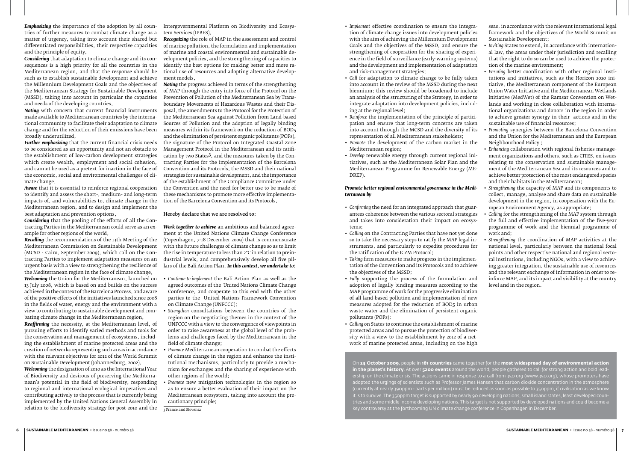*Emphasizing* the importance of the adoption by all coun-Intergovernmental Platform on Biodiversity and Ecosystries of further measures to combat climate change as a matter of urgency, taking into account their shared but differentiated responsibilities, their respective capacities and the principle of equity,

*Considering* that adaptation to climate change and its consequences is a high priority for all the countries in the Mediterranean region, and that the response should be such as to establish sustainable development and achieve the Millennium Development Goals and the objectives of the Mediterranean Strategy for Sustainable Development (MSSD), taking into account in particular the capacities and needs of the developing countries,

*Noting* with concern that current financial instruments made available to Mediterranean countries by the international community to facilitate their adaptation to climate change and for the reduction of their emissions have been broadly underutilized,

*Further emphasizing* that the current financial crisis needs to be considered as an opportunity and not an obstacle to the establishment of low-carbon development strategies which create wealth, employment and social cohesion, and cannot be used as a pretext for inaction in the face of and cannot be used as a pretext for inaction in the face of the economic, social and environmental challenges of climate change,

*Aware* that it is essential to reinforce regional cooperation to identify and assess the short-, medium- and long-term impacts of, and vulnerabilities to, climate change in the Mediterranean region, and to design and implement the best adaptation and prevention options,

*Considering* that the pooling of the efforts of all the Contracting Parties in the Mediterranean could serve as an example for other regions of the world,

*Recalling* the recommendations of the 13th Meeting of the Mediterranean Commission on Sustainable Development (MCSD - Cairo, September 2009), which call on the Contracting Parties to implement adaptation measures on an urgent basis with a view to strengthening the resilience of the Mediterranean region in the face of climate change,

13 July 2008, which is based on and builds on the success achieved in the context of the Barcelona Process, and aware of the positive effects of the initiatives launched since 2008 in the fields of water, energy and the environment with a view to contributing to sustainable development and combating climate change in the Mediterranean region,

*Reaffirming* the necessity, at the Mediterranean level, of pursuing efforts to identify varied methods and tools for the conservation and management of ecosystems, including the establishment of marine protected areas and the creation of networks representing such areas in accordance with the relevant objectives for 2012 of the World Summit on Sustainable Development (Johannesburg, 2002),

*Welcoming* the designation of 2010 as the International Year of Biodiversity and desirous of preserving the Mediterranean's potential in the field of biodiversity, responding to regional and international ecological imperatives and contributing actively to the process that is currently being implemented by the United Nations General Assembly in relation to the biodiversity strategy for post-2010 and the

tem Services (IPBES),

*Recognizing* the role of MAP in the assessment and control of marine pollution, the formulation and implementation of marine and coastal environmental and sustainable development policies, and the strengthening of capacities to identify the best options for making better and more rational use of resources and adopting alternative development models,

- *Welcoming* the Union for the Mediterranean, launched on *Continue to implement* the Bali Action Plan as well as the agreed outcomes of the United Nations Climate Change Conference, and cooperate to this end with the other parties to the United Nations Framework Convention on Climate Change (UNFCCC);
	- *Strengthen* consultations between the countries of the region on the negotiating themes in the context of the UNFCCC with a view to the convergence of viewpoints in order to raise awareness at the global level of the problems and challenges faced by the Mediterranean in the field of climate change;
	- *Promote* Mediterranean cooperation to combat the effects of climate change in the region and enhance the institutional mechanisms, particularly to provide a mechanism for exchanges and the sharing of experience with other regions of the world;
	- *Promote* new mitigation technologies in the region so as to ensure a better evaluation of their impact on the Mediterranean ecosystem, taking into account the precautionary principle;

3 France and Slovenia

*Noting* the progress achieved in terms of the strengthening of MAP through the entry into force of the Protocol on the Prevention of Pollution of the Mediterranean Sea by Transboundary Movements of Hazardous Wastes and their Disposal, the amendments to the Protocol for the Protection of the Mediterranean Sea against Pollution from Land-based Sources of Pollution and the adoption of legally binding measures within its framework on the reduction of BOD5 and the elimination of persistent organic pollutants (POPs), the signature of the Protocol on Integrated Coastal Zone Management Protocol in the Mediterranean and its ratification by two States3, and the measures taken by the Contracting Parties for the implementation of the Barcelona Convention and its Protocols, the MSSD and their national strategies for sustainable development, and the importance of the establishment of the Compliance Committee under the Convention and the need for better use to be made of these mechanisms to promote more effective implementation of the Barcelona Convention and its Protocols,

#### Hereby declare that we are resolved to:

*Work together to achieve* an ambitious and balanced agreement at the United Nations Climate Change Conference (Copenhagen, 7-18 December 2009) that is commensurate with the future challenges of climate change so as to limit the rise in temperature to less than 2°C in relation to preindustrial levels, and comprehensively develop all five pillars of the Bali Action Plan. *In this context, we undertake to:*

#### *Promote better regional environmental governance in the Mediterranean by*

- *Confirming* the need for an integrated approach that guarantees coherence between the various sectoral strategies and takes into consideration their impact on ecosystems;
- *Calling* on the Contracting Parties that have not yet done so to take the necessary steps to ratify the MAP legal instruments, and particularly to expedite procedures for the ratification of the ICZM Protocol;
- *Taking* firm measures to make progress in the implementation of the Convention and its Protocols and to achieve the objectives of the MSSD;
- *Fully* supporting the process of the formulation and adoption of legally binding measures according to the MAP programme of work for the progressive elimination of all land-based pollution and implementation of new measures adopted for the reduction of BOD5 in urban waste water and the elimination of persistent organic pollutants (POPs);
- *Calling* on States to continue the establishment of marine protected areas and to pursue the protection of biodiversity with a view to the establishment by 2012 of a network of marine protected areas, including on the high
- *Implement* effective coordination to ensure the integration of climate change issues into development policies with the aim of achieving the Millennium Development Goals and the objectives of the MSSD, and ensure the strengthening of cooperation for the sharing of experience in the field of surveillance (early-warning systems) and the development and implementation of adaptation and risk-management strategies; seas, in accordance with the relevant international legal framework and the objectives of the World Summit on Sustainable Development; • *Inviting* States to extend, in accordance with international law, the areas under their jurisdiction and recalling that the right to do so can be used to achieve the protection of the marine environment; • *Ensuring* better coordination with other regional insti-
- *Call* for adaptation to climate change to be fully taken into account in the review of the MSSD during the next biennium: this review should be broadened to include an analysis of the structuring of the Strategy, in order to integrate adaptation into development policies, including at the regional level; • *Reinforce* the implementation of the principle of participation and ensure that long-term concerns are taken tutions and initiatives, such as the Horizon 2020 initiative, the Mediterranean component of the European Union Water Initiative and the Mediterranean Wetlands Initiative (MedWet) of the Ramsar Convention on Wetlands and working in close collaboration with international organizations and donors in the region in order to achieve greater synergy in their actions and in the sustainable use of financial resources;
- into account through the MCSD and the diversity of its representation of all Mediterranean stakeholders;
- *Promote* the development of the carbon market in the Mediterranean region;
- *Develop* renewable energy through current regional initiatives, such as the Mediterranean Solar Plan and the Mediterranean Programme for Renewable Energy (ME-DREP). • *Enhancing* collaboration with regional fisheries management organizations and others, such as CITES, on issues relating to the conservation and sustainable management of the Mediterranean Sea and its resources and to achieve better protection of the most endangered species and their habitats in the Mediterranean;
- *Promoting* synergies between the Barcelona Convention and the Union for the Mediterranean and the European Neighbourhood Policy ;
- *Strengthening* the capacity of MAP and its components to collect, manage, analyse and share data on sustainable development in the region, in cooperation with the European Environment Agency, as appropriate;
- *Calling* for the strengthening of the MAP system through the full and effective implementation of the five-year programme of work and the biennial programme of work and;
- *Strengthening* the coordination of MAP activities at the national level, particularly between the national focal points and other respective national and regional sectoral institutions, including NGOs, with a view to achieving greater integration, the sustainable use of resources and the relevant exchange of information in order to reinforce MAP, and its impact and visibility at the country level and in the region.

On **24 October 2009**, people in **181 countries** came together for the **most widespread day of environmental action in the planet's history**. At over **5200 events** around the world, people gathered to call for strong action and bold leadership on the climate crisis. The actions came in response to a call from 350 org (www.350.org), whose promoters have adopted the urgings of scientists such as Professor James Hansen that carbon dioxide concentration in the atmosphere (currently at nearly 390ppm - parts per million) must be reduced as soon as possible to 350ppm, if civilisation as we know it is to survive. The 350ppm target is supported by nearly 90 developing nations, small island states, least developed countries and some middle income developing nations. This target is not supported by developed nations and could become a key controversy at the forthcoming UN climate change conference in Copenhagen in December.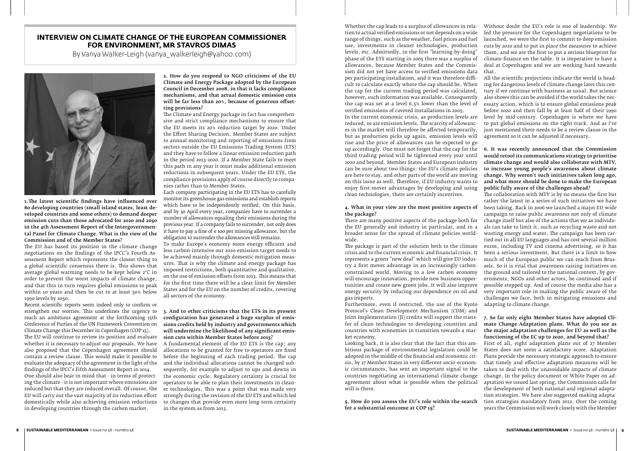# **INTERVIEW ON CLIMATE CHANGE OF THE EUROPEAN COMMISSIONER FOR ENVIRONMENT, MR STAVROS DIMAS**

By Vanya Walker-Leigh (vanya\_walkerleigh@yahoo.com)



1.The latest scientific findings have influenced over 80 developing countries (small island states, least developed countries and some others) to demand deeper emission cuts than those advocated for 2020 and 2050 in the 4th Assessment Report of the Intergovernmental Panel for Climate Change. What is the view of the Commission and of the Member States?

The EU has based its position in the climate change negotiations on the findings of the IPCC's Fourth Assessment Report which represents the closest thing to a global scientific consensus there is. This shows that average global warming needs to be kept below 2°C in order to prevent the worst impacts of climate change, and that this in turn requires global emissions to peak within 10 years and then be cut to at least 50% below 1990 levels by 2050.

Recent scientific reports seem indeed only to confirm or strengthen our worries. This underlines the urgency to reach an ambitious agreement at the forthcoming 15th Conference of Parties of the UN Framework Convention on Climate Change this December in Copenhagen (COP 15).

The EU will continue to review its position and evaluate whether it is necessary to adjust our proposals. We have also proposed that the Copenhagen agreement should contain a review clause. This would make it possible to evaluate the adequacy of the agreement in the light of the findings of the IPCC's Fifth Assessment Report in 2014. One should also bear in mind that - in terms of protecting the climate - it is not important where emissions are reduced but that they are reduced overall. Of course, the EU will carry out the vast majority of its reduction effort domestically while also achieving emission reductions in developing countries through the carbon market.

2. How do you respond to NGO criticisms of the EU Climate and Energy Package adopted by the European Council in December 2008, in that it lacks compliance mechanisms, and that actual domestic emission cuts will be far less than 20%, because of generous offsetting provisions?

The Climate and Energy package in fact has comprehensive and strict compliance mechanisms to ensure that the EU meets its 20% reduction target by 2020. Under the Effort Sharing Decision, Member States are subject to annual monitoring and reporting of emissions from sectors outside the EU Emissions Trading System (ETS) and they have to follow a linear emission reduction path in the period 2013-2020. If a Member State fails to meet this path in any year it must make additional emission reductions in subsequent years. Under the EU ETS, the compliance provisions apply of course directly to companies rather than to Member States.

Each company participating in the EU ETS has to carefully monitor its greenhouse gas emissions and establish reports which have to be independently verified. On this basis, and by 30 April every year, companies have to surrender a number of allowances equaling their emissions during the previous year. If a company fails to surrender, not only does it have to pay a fine of  $\epsilon$  100 per missing allowance, but the obligation to surrender the allowances still remains.

To make Europe's economy more energy-efficient and less carbon-intensive our 2020 emission target needs to be achieved mainly through domestic mitigation measures. That is why the climate and energy package has imposed restrictions, both quantitative and qualitative, on the use of emission offsets from 2013. This means that for the first time there will be a clear limit for Member States and for the EU on the number of credits, covering all sectors of the economy.

#### 3. And to other criticisms that the ETS in its present configuration has generated a huge surplus of emissions credits held by industry and governments which will undermine the likelihood of any significant emission cuts within Member States before 2015?

A fundamental element of the EU ETS is the cap: any allocations to be granted for free to operators are fixed before the beginning of each trading period. The cap and the individual allocations cannot be changed subsequently, for example to adjust to ups and downs in the economic cycle. Regulatory certainty is crucial for operators to be able to plan their investments in cleaner technologies. This was a point that was made very strongly during the revision of the EU ETS and which led to changes that provide even more long-term certainty in the system as from 2013.

#### 4. What in your view are the most positive aspects of the package?

There are many positive aspects of the package both for the EU generally and industry in particular, and in a broader sense for the spread of climate policies worldwide.

The package is part of the solution both to the climate crisis and to the current economic and financial crisis. It represents a green "new deal" which will give EU industry a first mover advantage in an increasingly carbonconstrained world. Moving to a low carbon economy will encourage innovation, provide new business opportunities and create new green jobs. It will also improve energy security by reducing our dependence on oil and gas imports.

Whether the cap leads to a surplus of allowances in relation to actual verified emissions or not depends on a wide range of things, such as the weather, fuel prices and fuel use, investments in cleaner technologies, production levels, etc. Admittedly, in the first "learning-by-doing" phase of the ETS starting in 2005 there was a surplus of allowances, because Member States and the Commission did not yet have access to verified emissions data per participating installation, and it was therefore difficult to calculate exactly where the cap should be. When the cap for the current trading period was calculated, however, such information was available. Consequently the cap was set at a level 6.5% lower than the level of verified emissions of covered installations in 2005. verified emissions of covered installations in 2005. In the current economic crisis, as production levels are reduced, so are emission levels. The scarcity of allowances in the market will therefore be affected temporarily, but as production picks up again, emission levels will rise and the price of allowances can be expected to go up accordingly. One must not forget that the cap for the third trading period will be tightened every year until 2020 and beyond. Member States and European industry can be sure about two things: the EU's climate policies are here to stay, and other parts of the world are moving on this issue as well. Therefore, if EU industry wants to enjoy first-mover advantages by developing and using clean technologies, there are certainly incentives. Without doubt the EU's role is one of leadership. We led the pressure for the Copenhagen negotiations to be launched, we were the first to commit to deep emission cuts by 2020 and to put in place the measures to achieve them, and we are the first to put a serious blueprint for climate finance on the table. It is imperative to have a deal at Copenhagen and we are working hard towards that. All the scientific projections indicate the world is heading for dangerous levels of climate change later this century if we continue with business as usual. But science also shows this can be avoided if the world takes the necessary action, which is to ensure global emissions peak before 2020 and then fall by at least half of their 1990 level by mid-century. Copenhagen is where we have to put global emissions on the right track. And as I've just mentioned there needs to be a review clause in the agreement so it can be adjusted if necessary. 6. It was recently announced that the Commission would retool its communications strategy to prioritise climate change and would also collaborate with MTV, to increase young people's awareness about climate change. Why weren't such initiatives taken long ago, and what more should be done to make the European public fully aware of the challenges ahead? The collaboration with MTV is by no means the first but

Furthermore, even if restricted, the use of the Kyoto Protocol's Clean Development Mechanism (CDM) and Joint Implementation (JI) credits will support the transfer of clean technologies to developing countries and countries with economies in transition towards a market economy.

Looking back, it is also clear that the fact that this ambitious package of environmental legislation could be adopted in the middle of the financial and economic crisis, by 27 Member States in very different socio-economic circumstances, has sent an important signal to the countries negotiating an international climate change agreement about what is possible when the political will is there.

5. How do you assess the EU's role within the search for a substantial outcome at COP 15?

rather the latest in a series of such initiatives we have been taking. Back in 2006 we launched a major EU-wide campaign to raise public awareness not only of climate change itself but also of the actions that we as individuals can take to limit it, such as recycling waste and not wasting energy and water. The campaign has been carried out in all EU languages and has cost several million euros, including TV and cinema advertising, so it has been a serious investment. But there is a limit to how much of the European public we can reach from Brussels. So it is vital that awareness-raising initiatives on the ground and tailored to the national context, by governments, NGOs and other actors, be continued and if possible stepped up. And of course the media also has a very important role in making the public aware of the challenges we face, both in mitigating emissions and adapting to climate change.

### 7. So far only eight Member States have adopted Climate Change Adaptation plans. What do you see as the major adaptation challenges for EU as well as the functioning of the EC up to 2020, and beyond that?

First of all, eight adaptation plans out of 27 Member States does not seem a satisfactory score. Adaptation Plans provide the necessary strategic approach to ensure that timely and effective adaptation measures will be taken to deal with the unavoidable impacts of climate change. In the policy document or White Paper on adaptation we issued last spring, the Commission calls for the development of both national and regional adaptation strategies. We have also suggested making adaptation strategies mandatory from 2012. Over the coming years the Commission will work closely with the Member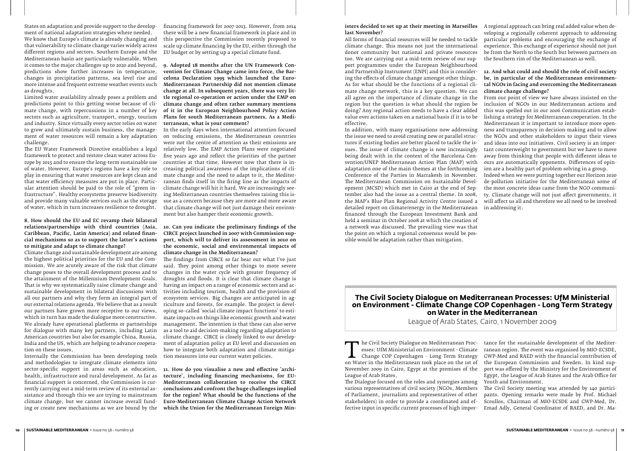States on adaptation and provide support to the development of national adaptation strategies where needed. We know that Europe's climate is already changing and that vulnerability to climate change varies widely across different regions and sectors. Southern Europe and the Mediterranean basin are particularly vulnerable. When it comes to the major challenges up to 2020 and beyond, predictions show further increases in temperature, changes in precipitation patterns, sea level rise and more intense and frequent extreme weather events such as droughts.

Limited water availability already poses a problem and predictions point to this getting worse because of climate change, with repercussions in a number of key sectors such as agriculture, transport, energy, tourism and industry. Since virtually every sector relies on water to grow and ultimately sustain business, the management of water resources will remain a key adaptation challenge.

The EU Water Framework Directive establishes a legal framework to protect and restore clean water across Europe by 2015 and to ensure the long-term sustainable use of water. However, Europe's regions have a key role to play in ensuring that water resources are kept clean and that water efficiency measures are put in place. Particular attention should be paid to the role of "green infrastructure". Healthy ecosystems preserve biodiversity and provide many valuable services such as the storage of water, which in turn increases resilience to drought.

### 8. How should the EU and EC revamp their bilateral relations/partnerships with third countries (Asia, Caribbean, Pacific, Latin America) and related financial mechanisms so as to support the latter's actions to mitigate and adapt to climate change?

Climate change and sustainable development are among the highest political priorities for the EU and the Commission. We are acutely aware of the risk that climate change poses to the overall development process and to the attainment of the Millennium Development Goals. That is why we systematically raise climate change and sustainable development in bilateral discussions with all our partners and why they form an integral part of our external relations agenda. We believe that as a result our partners have grown more receptive to our views, which in turn has made the dialogue more constructive. We already have operational platforms or partnerships for dialogue with many key partners, including Latin American countries but also for example China, Russia, India and the US, which are helping to advance cooperation on these issues.

Internally the Commission has been developing tools and methodologies to integrate climate elements into sector-specific support in areas such as education, 11. How do you visualise a new and effective 'archihealth, infrastructure and rural development. As far as financial support is concerned, the Commission is currently carrying out a mid-term review of its external assistance and through this we are trying to mainstream climate change, but we cannot increase overall funding or create new mechanisms as we are bound by the

financing framework for 2007-2013. However, from 2014 there will be a new financial framework in place and in this perspective the Commission recently proposed to scale up climate financing by the EU, either through the EU budget or by setting up a special climate fund.

9. Adopted 18 months after the UN Framework Convention for Climate Change came into force, the Barcelona Declaration 1995 which launched the Euro-Mediterranean Partnership did not mention climate change at all. In subsequent years, there was very little regional co-operation or action under the EMP on climate change and often rather summary mentions of it in the European Neighbourhood Policy Action Plans for south Mediterranean partners. As a Mediterranean, what is your comment?

In the early days when international attention focused on reducing emissions, the Mediterranean countries were not the centre of attention as their emissions are relatively low. The EMP Action Plans were negotiated five years ago and reflect the priorities of the partner countries at that time. However now that there is increasing political awareness of the implications of climate change and the need to adapt to it, the Mediterranean finds itself in the firing line as the impacts of climate change will hit it hard. We are increasingly seeing Mediterranean countries themselves raising this issue as a concern because they are more and more aware that climate change will not just damage their environment but also hamper their economic growth.

#### 10. Can you indicate the preliminary findings of the CIRCE project launched in 2007 with Commission support, which will to deliver its assessment in 2010 on the economic, social and environmental impacts of climate change in the Mediterranean?

The Civil Society Dialogue on Mediterranean Proc-<br>
esses: UfM Ministerial on Environment - Climate<br>
Change COP Copenhagen - Long Term Strategy<br>
on Water in the Mediterranean took place on the 1st of<br>
November 2000 in Cairo esses: UfM Ministerial on Environment - Climate Change COP Copenhagen - Long Term Strategy November 2009 in Cairo, Egypt at the premises of the League of Arab States. The Dialogue focused on the roles and synergies among tance for the sustainable development of the Mediterranean region. The event was organised by MIO-ECSDE, GWP-Med and RAED with the financial contribution of the European Commission and Sweden. In kind support was offered by the Ministry for the Environment of Egypt, the League of Arab States and the Arab Office for Youth and Environment.

The findings from CIRCE so far bear out what I've just said. They point among other things to more severe changes in the water cycle with greater frequency of droughts and floods. It is clear that climate change is having an impact on a range of economic sectors and activities including tourism, health and the provision of ecosystem services. Big changes are anticipated in agriculture and forests, for example. The project is developing so-called 'social climate impact functions' to estimate impacts on things like economic growth and water management. The intention is that these can also serve as a tool to aid decision-making regarding adaptation to climate change. CIRCE is closely linked to our development of adaptation policy at EU level and discussion on how to integrate both adaptation and climate mitigation measures into our current water policies.

tecture', including financing mechanisms, for EU-Mediterranean collaboration to receive the CIRCE conclusions and confront the huge challenges implied for the region? What should be the functions of the Euro-Mediterranean Climate Change Action Network which the Union for the Mediterranean Foreign Min-

#### isters decided to set up at their meeting in Marseilles A regional approach can bring real added value when delast November?

All forms of financial resources will be needed to tackle climate change. This means not just the international donor community but national and private resources too. We are carrying out a mid-term review of our support programmes under the European Neighbourhood and Partnership Instrument (ENPI) and this is considering the effects of climate change amongst other things. As for what should be the functions of a regional climate change network, this is a key question. We can all agree on the importance of climate change in the region but the question is what should the region be doing? Any regional action needs to have a clear added value over actions taken on a national basis if it is to be effective.

veloping a regionally coherent approach to addressing particular problems and encouraging the exchange of experience. This exchange of experience should not just be from the North to the South but between partners on the Southern rim of the Mediterranean as well.

In addition, with many organisations now addressing the issue we need to avoid creating new or parallel structures if existing bodies are better placed to tackle the issues. The issue of climate change is now increasingly being dealt with in the context of the Barcelona Convention/UNEP Mediterranean Action Plan (MAP) with adaptation one of the main themes at the forthcoming Conference of the Parties in Marrakesh in November. The Mediterranean Commission on Sustainable Development (MCSD) which met in Cairo at the end of September also had the issue as a central theme. In 2008, the MAP's Blue Plan Regional Activity Centre issued a detailed report on climate/energy in the Mediterranean financed through the European Investment Bank and held a seminar in October 2008 at which the creation of a network was discussed. The prevailing view was that the point on which a regional consensus would be possible would be adaptation rather than mitigation. the NGOs and other stakeholders to input their views and ideas into our initiatives. Civil society is an important counterweight to government but we have to move away from thinking that people with different ideas to ours are automatically opponents. Differences of opinion are a healthy part of problem solving in a group. Indeed when we were putting together our Horizon 2020 de-pollution initiative for the Mediterranean some of the most concrete ideas came from the NGO community. Climate change will not just affect governments, it will affect us all and therefore we all need to be involved in addressing it.

#### 12. And what could and should the role of civil society be, in particular of the Mediterranean environmental NGOs in facing and overcoming the Mediterranean climate change challenge?

From our point of view we have always insisted on the inclusion of NGOs in our Mediterranean actions and this was spelled out in our 2006 Communication establishing a strategy for Mediterranean cooperation. In the Mediterranean it is important to introduce more openness and transparency in decision-making and to allow

# **The Civil Society Dialogue on Mediterranean Processes: UfM Ministerial on Environment - Climate Change COP Copenhagen - Long Term Strategy on Water in the Mediterranean**

League of Arab States, Cairo, 1 November 2009

various representatives of civil society (NGOs, Members of Parliament, journalists and representatives of other stakeholders) in order to provide a coordinated and effective input in specific current processes of high impor-The Civil Society meeting was attended by 140 participants. Opening remarks were made by Prof. Michael Scoullos, Chairman of MIO-ECSDE and GWP-Med, Dr. Emad Adly, General Coordinator of RAED, and Dr. Ma-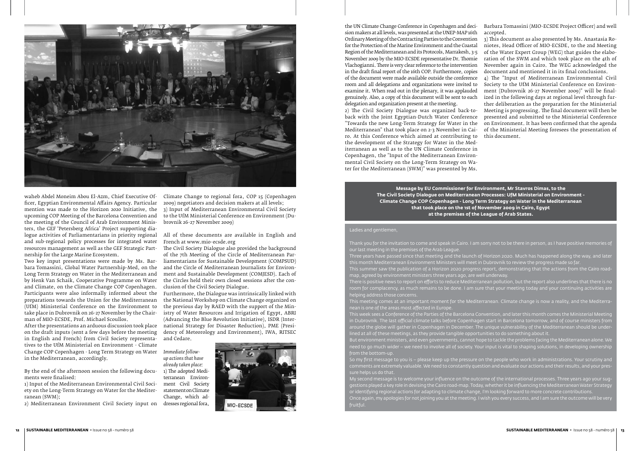

waheb Abdel Moneim Abou El-Azm, Chief Executive Officer, Egyptian Environmental Affairs Agency. Particular mention was made to the Horizon 2020 Initiative, the upcoming COP Meeting of the Barcelona Convention and the meeting of the Council of Arab Environment Ministers, the GEF 'Petersberg Africa' Project supporting dialogue activities of Parliamentarians in priority regional All of these documents are available in English and and sub-regional policy processes for integrated water resources management as well as the GEF Strategic Partnership for the Large Marine Ecosystem.

Two key input presentations were made by Ms. Barbara Tomassini, Global Water Partnership-Med, on the Long Term Strategy on Water in the Mediterranean and by Henk Van Schaik, Cooperative Programme on Water and Climate, on the Climate Change COP Copenhagen. Participants were also informally informed about the preparations towards the Union for the Mediterranean (UfM) Ministerial Conference on the Environment to take place in Dubrovnik on 26-27 November by the Chairman of MIO-ECSDE, Prof. Michael Scoullos.

After the presentations an arduous discussion took place on the draft inputs (sent a few days before the meeting in English and French) from Civil Society representatives to the UfM Ministerial on Environment - Climate Change COP Copenhagen - Long Term Strategy on Water *Immediate follow*in the Mediterranean, accordingly.

By the end of the afternoon session the following docu-1) The adopted Mediments were finalised:

1) Input of the Mediterranean Environmental Civil Society on the Long-Term Strategy on Water for the Mediterranean (SWM);

Climate Change to regional fora, COP 15 (Copenhagen 2009) negotiators and decision makers at all levels; 3) Input of Mediterranean Environmental Civil Society to the UfM Ministerial Conference on Environment (Dubrovnik 26-27 November 2009)

French at www.mio-ecsde.org

The Civil Society Dialogue also provided the background of the 7th Meeting of the Circle of Mediterranean Parliamentarians for Sustainable Development (COMPSUD) and the Circle of Mediterranean Journalists for Environment and Sustainable Development (COMJESD). Each of the Circles held their own closed sessions after the conclusion of the Civil Society Dialogue.

2) Mediterranean Environment Civil Society input on dresses regional fora,

Furthermore, the Dialogue was intrinsically linked with the National Workshop on Climate Change organized on the previous day by RAED with the support of the Ministry of Water Resources and Irrigation of Egypt, ABRI (Advancing the Blue Revolution Initiative), ISDR (International Strategy for Disaster Reduction), PME (Presidency of Meteorology and Environment), IWA, RITSEC and Cedare.

*up actions that have already taken place:*  terranean Environment Civil Society statement on Climate Change, which ad-



the UN Climate Change Conference in Copenhagen and decision makers at all levels, was presented at the UNEP-MAP 16th Ordinary Meeting of the Contracting Parties to the Convention for the Protection of the Marine Environment and the Coastal Region of the Mediterranean and its Protocols, Marrakesh, 3-5 November 2009 by the MIO-ECSDE representative Dr. Thomie Vlachogianni. There is very clear reference to the intervention in the draft final report of the 16th COP. Furthermore, copies of the document were made available outside the conference room and all delegations and organizations were invited to examine it. When read out in the plenary, it was applauded genuinely. Also, a copy of this document will be sent to each delegation and organization present at the meeting. Barbara Tomassini (MIO-ECSDE Project Officer) and well accepted. 3) This document as also presented by Ms. Anastasia Roniotes, Head Officer of MIO-ECSDE, to the 2nd Meeting of the Water Expert Group (WEG) that guides the elaboration of the SWM and which took place on the 4th of November again in Cairo. The WEG acknowledged the document and mentioned it in its final conclusions. 4) The "Input of Mediterranean Environmental Civil Society to the UfM Ministerial Conference on Environment (Dubrovnik 26-27 November 2009)" will be finalized in the following days at regional level through further deliberation as the preparation for the Ministerial

2) The Civil Society Dialogue was organized back-toback with the Joint Egyptian-Dutch Water Conference "Towards the new Long-Term Strategy for Water in the Mediterranean" that took place on 2-3 November in Cairo. At this Conference which aimed at contributing to the development of the Strategy for Water in the Mediterranean as well as to the UN Climate Conference in Copenhagen, the "Input of the Mediterranean Environmental Civil Society on the Long-Term Strategy on Water for the Mediterranean (SWM)" was presented by Ms.

Meeting is progressing. The final document will then be presented and submitted to the Ministerial Conference on Environment. It has been confirmed that the agenda of the Ministerial Meeting foresees the presentation of this document.

**Message by EU Commissioner for Environment, Mr Stavros Dimas, to the**

# **The Civil Society Dialogue on Mediterranean Processes: UfM Ministerial on Environment - Climate Change COP Copenhagen - Long Term Strategy on Water in the Mediterranean that took place on the 1st of November 2009 in Cairo, Egypt at the premises of the League of Arab States.**

#### Ladies and gentlemen,

Thank you for the invitation to come and speak in Cairo. I am sorry not to be there in person, as I have positive memories of our last meeting in the premises of the Arab League.

Three years have passed since that meeting and the launch of Horizon 2020. Much has happened along the way, and later this month Mediterranean Environment Ministers will meet in Dubrovnik to review the progress made so far. This summer saw the publication of a Horizon 2020 progress report, demonstrating that the actions from the Cairo roadmap, agreed by environment ministers three years ago, are well underway. There is positive news to report on efforts to reduce Mediterranean pollution, but the report also underlines that there is no room for complacency, as much remains to be done. I am sure that your meeting today and your continuing activities are helping address those concerns.

This meeting comes at an important moment for the Mediterranean. Climate change is now a reality, and the Mediterra-

nean is one of the areas most affected in Europe.

This week sees a Conference of the Parties of the Barcelona Convention, and later this month comes the Ministerial Meeting in Dubrovnik. The last official climate talks before Copenhagen start in Barcelona tomorrow, and of course ministers from around the globe will gather in Copenhagen in December. The unique vulnerability of the Mediterranean should be underlined at all of these meetings, as they provide tangible opportunities to do something about it. But environment ministers, and even governments, cannot hope to tackle the problems facing the Mediterranean alone. We need to go much wider – we need to involve all of society. Your input is vital to shaping solutions, in developing ownership from the bottom-up.

So my first message to you is – please keep up the pressure on the people who work in administrations. Your scrutiny and comments are extremely valuable. We need to constantly question and evaluate our actions and their results, and your pres-

sure helps us do that.

My second message is to welcome your influence on the outcome of the international processes. Three years ago your suggestions played a key role in devising the Cairo road-map. Today, whether it be influencing the Mediterranean Water Strategy or identifying regional actions for adapting to climate change, I'm looking forward to more concrete contributions. Once again, my apologies for not joining you at the meeting. I wish you every success, and I am sure the outcome will be very fruitful.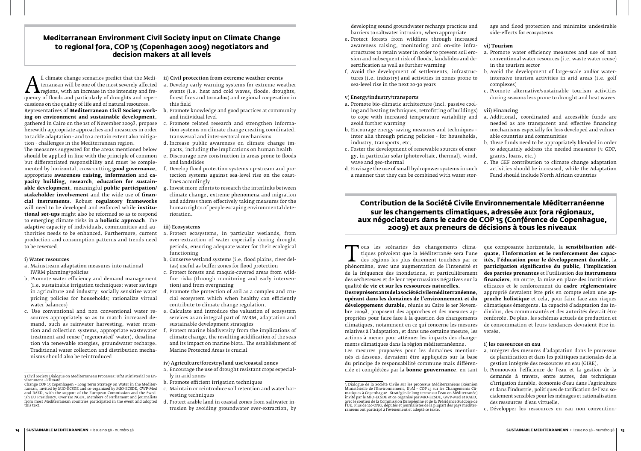# **Mediterranean Environment Civil Society input on Climate Change to regional fora, COP 15 (Copenhagen 2009) negotiators and decision makers at all levels**

The childre change scenarios predict that the Mediterranean will be one of the most severely affected<br>quency of floods and particularly of droughts and reper-<br>cussions on the quality of life and of natural resources terranean will be one of the most severely affected regions, with an increase in the intensity and frequency of floods and particularly of droughts and repercussions on the quality of life and of natural resources. Representatives of **Mediterranean Civil Society working on environment and sustainable development**, herewith appropriate approaches and measures in order to tackle adaptation - and to a certain extent also mitigation - challenges in the Mediterranean region.

The measures suggested for the areas mentioned below should be applied in line with the principle of common but differentiated responsibility and must be compleappropriate **awareness raising, information** and **capacity building, research, education for sustainable development**, meaningful **public participation/ stakeholder involvement** and the wide use of **financial instruments**. Robust **regulatory frameworks** will need to be developed and enforced while **institutional set-ups** might also be reformed so as to respond to emerging climate risks in **a holistic approach**. The adaptive capacity of individuals, communities and authorities needs to be enhanced. Furthermore, current production and consumption patterns and trends need to be reversed.

#### i) Water resources

- a. Mainstream adaptation measures into national IWRM planning/policies
- b. Promote water efficiency and demand management (i.e. sustainable irrigation techniques; water savings in agriculture and industry; socially sensitive water pricing policies for households; rationalize virtual water balances)
- c. Use conventional and non conventional water resources appropriately so as to match increased demand, such as rainwater harvesting, water retention and collection systems, appropriate wastewater treatment and reuse ('regenerated' water), desalination via renewable energies, groundwater recharge. Traditional water collection and distribution mechanisms should also be reintroduced

#### ii) Civil protection from extreme weather events

- a. Develop early warning systems for extreme weather events (i.e. heat and cold waves, floods, droughts, forest fires and tornados) and regional cooperation in this field
- b. Promote knowledge and good practices at community and individual level
- gathered in Cairo on the 1st of November 20093, propose c. Promote related research and strengthen information systems on climate change creating coordinated, transversal and inter-sectoral mechanisms
	- d. Increase public awareness on climate change impacts, including the implications on human health
	- e. Discourage new construction in areas prone to floods and landslides
- mented by horizontal, cross-cutting **good governance**, f. Develop flood protection systems up-stream and protection systems against sea-level rise on the coastlines accordingly
	- g. Invest more efforts to research the interlinks between climate change, extreme phenomena and migration and address them effectively taking measures for the human rights of people escaping environmental deterioration.

#### iii) Ecosystems

- a. Protect ecosystems, in particular wetlands, from over-extraction of water especially during drought periods, ensuring adequate water for their ecological functioning
- b. Conserve wetland systems (i.e. flood plains, river deltas) useful as buffer zones for flood protection
- c. Protect forests and maquis-covered areas from wildfire risks (through monitoring and early intervention) and from overgrazing
- d. Promote the protection of soil as a complex and crucial ecosystem which when healthy can efficiently contribute to climate change regulation.
- e. Calculate and introduce the valuation of ecosystem services as an integral part of IWRM, adaptation and sustainable development strategies
- Protect marine biodiversity from the implications of climate change, the resulting acidification of the seas and its impact on marine biota. The establishment of Marine Protected Areas is crucial

#### iv) Agriculture/forestry/land use/coastal zones

Tous les scénarios des changements clima-<br>
tiques prévoient que la Méditerranée sera l'une<br>
des régions les plus durement touchées par ce<br>
phénomène, avec une augmentation de l'intensité et<br>
de la fréquence des inondations tiques prévoient que la Méditerranée sera l'une des régions les plus durement touchées par ce de la fréquence des inondations, et particulièrement des sécheresses et de leur répercussions négatives sur la qualité **de vie et sur les ressources naturelles. Des représentants de la société civile méditerranéenne, opérant dans les domaines de l'environnement et du développement durable**, réunis au Caire le 1er Novembre 20093, proposent des approches et des mesures appropriées pour faire face à la question des changements climatiques, notamment en ce qui concerne les mesures relatives à l'adaptation, et dans une certaine mesure, les actions à mener pour atténuer les impacts des changements climatiques dans la région méditerranéenne. Les mesures proposées pour les domaines mentionnés ci-dessous, devraient être appliquées sur la base du principe de responsabilité commune mais différenciée et complétées par la **bonne gouvernance**, en tant que composante horizontale, la **sensibilisation adéquate, l'information et le renforcement des capacités, l'éducation pour le développement durable**, la **participation significative du public, l'implication des parties prenantes** et l'utilisation des **instruments financiers**. En outre, la mise en place des institutions efficaces et le renforcement du **cadre réglementaire** approprié devraient être pris en compte selon une **approche holistique** et cela, pour faire face aux risques climatiques émergents. La capacité d'adaptation des individus, des communautés et des autorités devrait être renforcée. De plus, les schémas actuels de production et de consommation et leurs tendances devraient être inversés. i) les ressources en eau a. Intégrer des mesures d'adaptation dans le processus de planification et dans les politiques nationales de la gestion intégrée des ressources en eau (GIRE).

- a. Encourage the use of drought resistant crops especially in arid zones
- b. Promote efficient irrigation techniques
- c. Maintain or reintroduce soil retention and water harvesting techniques
- d. Protect arable land in coastal zones from saltwater intrusion by avoiding groundwater over-extraction, by

developing sound groundwater recharge practices and barriers to saltwater intrusion, when appropriate

## v) Energy/industry/transports

- e. Protect forests from wildfires through increased awareness raising, monitoring and on-site infrastructures to retain water in order to prevent soil erosion and subsequent risk of floods, landslides and desertification as well as further warming **vi) Tourism** a. Promote water efficiency measures and use of non conventional water resources (i.e. waste water reuse) in the tourism sector
- f. Avoid the development of settlements, infrastructures (i.e. industry) and activities in zones prone to sea-level rise in the next 20-30 years b. Avoid the development of large-scale and/or waterintensive tourism activities in arid areas (i.e. golf complexes)

age and flood protection and minimize undesirable side-effects for ecosystems

- a. Promote bio-climatic architecture (incl. passive cooling and heating techniques, retrofitting of buildings) to cope with increased temperature variability and avoid further warming
- b. Encourage energy-saving measures and techniques inter alia through pricing policies - for households, industry, transports, etc.
- c. Foster the development of renewable sources of energy, in particular solar (photovoltaic, thermal), wind, wave and geo-thermal
- d. Envisage the use of small hydropower systems in such a manner that they can be combined with water storc. The GEF contribution to climate change adaptation activities should be increased, while the Adaptation Fund should include North African countries

c. Promote alternative/sustainable tourism activities during seasons less prone to drought and heat waves

#### vii) Financing

- a. Additional, coordinated and accessible funds are needed as are transparent and effective financing mechanisms especially for less developed and vulnerable countries and communities
- b. These funds need to be appropriately blended in order to adequately address the needed measures (% GDP, grants, loans, etc.)

# **Contribution de la Société Civile Environnementale Méditerranéenne sur les changements climatiques, adressée aux fora régionaux, aux négociateurs dans le cadre de COP 15 (Conférence de Copenhague, 2009) et aux preneurs de décisions à tous les niveaux**

- 
- b. Promouvoir l'efficience de l'eau et la gestion de la demande à travers, entre autres, des techniques d'irrigation durable, économie d'eau dans l'agriculture et dans l'industrie, politiques de tarification de l'eau socialement sensibles pour les ménages et rationalisation des ressources d'eau virtuelle.
- c. Développer les ressources en eau non convention-

<sup>3</sup> Civil Society Dialogue on Mediterranean Processes: UfM Ministerial on En-

vironment – Climate Change COP 15 Copenhagen – Long Term Strategy on Water in the Mediterranean, invited by MIO-ECSDE and co-organized by MIO-ECSDE, GWP-Med and RAED, with the support of the European Commission and the Swed-ish EU Presidency. Over 120 NGOs, Members of Parliament and journalists from most Mediterranean countries participated in the event and adopted this text.

<sup>3</sup> Diabytie de la Sociéte Civile Sur les processus médicinements (Kedilloni)<br>Ministérielle de l'Environnement, UpM – COP 15 sur les Changements Cli-<br>matiques à Copenhague – Stratégie de long terme sur l'eau en Méditerranée) l'UE. Plus de 120 ONG, députés et journalistes de la plupart des pays méditerranéens ont participé à l'événement et adopté ce texte.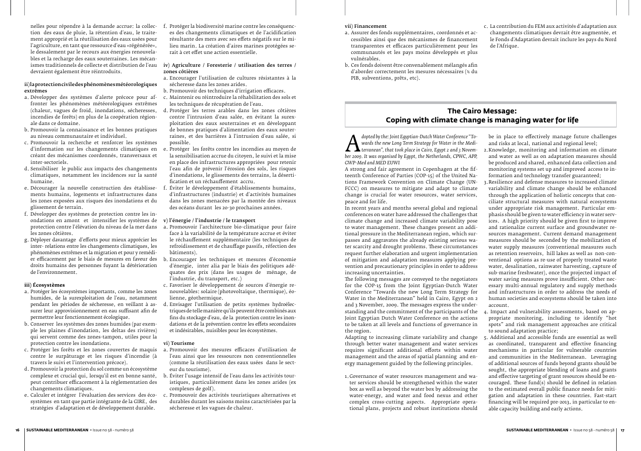tion des eaux de pluie, la rétention d'eau, le traitement approprié et la réutilisation des eaux usées pour l'agriculture, en tant que ressource d'eau «régénérée», le dessalement par le recours aux énergies renouvelables et la recharge des eaux souterraines. Les mécandevraient également être réintroduits.

### ii) la protection civile des phénomènes météorologiques extrêmes

- a. Développer des systèmes d'alerte précoce pour affronter les phénomènes météorologiques extrêmes (chaleur, vagues de froid, inondations, sécheresses, incendies de forêts) en plus de la coopération régionale dans ce domaine.
- b. Promouvoir la connaissance et les bonnes pratiques au niveau communautaire et individuel.
- c. Promouvoir la recherche et renforcer les systèmes créant des mécanismes coordonnés, transversaux et inter-sectoriels.
- d. Sensibiliser le public aux impacts des changements climatiques, notamment les incidences sur la santé humaine.
- e. Décourager la nouvelle construction des établissements humains, logements et infrastructures dans les zones exposées aux risques des inondations et du glissement de terrain.
- f. Développer des systèmes de protection contre les inondations en amont et intensifier les systèmes de les zones côtières.
- g. Déployer davantage d'efforts pour mieux apprécier les inter- relations entre les changements climatiques, les phénomènes extrêmes et la migration et pour y remédidroits humains des personnes fuyant la détérioration de l'environnement.

nelles pour répondre à la demande accrue: la collec-f. Protéger la biodiversité marine contre les conséquences des changements climatiques et de l'acidification résultante des mers avec ses effets négatifs sur le milieu marin. La création d'aires marines protégées serait à cet effet une action essentielle.

## ismes traditionnels de collecte et distribution de l'eau viv) Agriculture / Foresterie / utilisation des terres / zones corières

#### **iii) Écosystèmes**

- a. Protéger les écosystèmes importants, comme les zones humides, de la surexploitation de l'eau, notamment pendant les périodes de sécheresse, en veillant à assurer leur approvisionnement en eau suffisant afin de permettre leur fonctionnement écologique.
- b. Conserver les systèmes des zones humides (par exemple les plaines d'inondation, les deltas des rivières) qui servent comme des zones-tampon, utiles pour la protection contre les inondations.
- c. Protéger les forêts et les zones couvertes de maquis contre le surpâturage et les risques d'incendie (à travers le suivi et l'intervention précoce).
- d. Promouvoir la protection du sol comme un écosystème complexe et crucial qui, lorsqu'il est en bonne santé, peut contribuer efficacement à la réglementation des changements climatiques.
- e. Calculer et intégrer l'évaluation des services des écosystèmes en tant que partie intégrante de la GIRE, des stratégies d'adaptation et de développement durable.

*A*<br> *dopted by the. Joint Egyptian-Dutch Water Conference To-*<br> *dopter 2009. It was organised by Egypt, the Netherlands, CPWC, APP,*<br> *GWP-Med and MED EIIWI wards the new Long Term Strategy for Water in the Mediterranean", that took place in Cairo, Egypt 2 and 3 November 2009. It was organised by Egypt, the Netherlands, CPWC, APP, GWP-Med and MED EUWI*

- protection contre l'élévation du niveau de la mer dans a. Promouvoir l'architecture bio-climatique pour faire face à la variabilité de la température accrue et éviter le réchauffement supplémentaire (les techniques de refroidissement et de chauffage passifs, réfection des bâtiments).
- er efficacement par le biais de mesures en faveur des b. Encourager les techniques et mesures d'économie d'énergie, inter alia par le biais des politiques adéquates des prix (dans les usages de ménage, de l'industrie, du transport, etc.)
	- c. Favoriser le développement de sources d'énergie renouvelables: solaire (photovoltaïque, thermique), éolienne, géothermique.
	- d. Envisager l'utilisation de petits systèmes hydroélectriques de telle manière qu'ils peuvent être combinés aux fins du stockage d'eau, de la protection contre les inondations et de la prévention contre les effets secondaires et indésirables, nuisibles pour les écosystèmes.
- a. Encourager l'utilisation de cultures résistantes à la sécheresse dans les zones arides.
- b. Promouvoir des techniques d'irrigation efficaces.
- c. Maintenir ou réintroduire la réhabilitation des sols et les techniques de récupération de l'eau.
- d. Protéger les terres arables dans les zones côtières contre l'intrusion d'eau salée, en évitant la surexploitation des eaux souterraines et en développant de bonnes pratiques d'alimentation des eaux souterraines, et des barrières à l'intrusion d'eau salée, si possible.
- d'information sur les changements climatiques en e. Protéger les forêts contre les incendies au moyen de la sensibilisation accrue du citoyen, le suivi et la mise en place des infrastructures appropriées pour retenir l'eau afin de prévenir l'érosion des sols, les risques d'inondations, le glissements des terrains, la désertification et un réchauffement accru.
	- Éviter le développement d'établissements humains, d'infrastructures (industrie) et d'activités humaines dans les zones menacées par la montée des niveaux des océans durant les 20-30 prochaines années.

#### v) l'énergie / l'industrie / le transport

#### vi) Tourisme

- a. Promouvoir des mesures efficaces d'utilisation de l'eau ainsi que les ressources non conventionnelles (comme la réutilisation des eaux usées dans le secteur du tourisme).
- b. Éviter l'usage intensif de l'eau dans les activités touristiques, particulièrement dans les zones arides (ex complexes de golf).
- Promouvoir des activités touristiques alternatives et durables durant les saisons moins caractérisées par la sécheresse et les vagues de chaleur.

#### vii) Financement

- a. Assurer des fonds supplémentaires, coordonnés et accessibles ainsi que des mécanismes de financement transparentes et efficaces particulièrement pour les communautés et les pays moins développés et plus vulnérables.
- b. Ces fonds doivent être convenablement mélangés afin d'aborder correctement les mesures nécessaires (% du PIB, subventions, prêts, etc).

c. La contribution du FEM aux activités d'adaptation aux changements climatiques devrait être augmentée, et le Fonds d'Adaptation devrait inclure les pays du Nord de l'Afrique.

# **The Cairo Message: Coping with climate change is managing water for life**

A strong and fair agreement in Copenhagen at the fifteenth Conference of Parties (COP-15) of the United Nations Framework Convention on Climate Change (UN-FCCC) on measures to mitigate and adapt to climate change is crucial for water resources, water services, peace and for life.

In recent years and months several global and regional conferences on water have addressed the challenges that climate change and increased climate variability pose to water management. These changes present an additional pressure in the Mediterranean region, which surpasses and aggravates the already existing serious water scarcity and drought problems. These circumstances request further elaboration and urgent implementation of mitigation and adaptation measures applying prevention and precautionary principles in order to address increasing uncertainties.

The following messages are conveyed to the negotiators for the COP-15 from the Joint Egyptian-Dutch Water Conference "Towards the new Long Term Strategy for Water in the Mediterranean" held in Cairo, Egypt on 2 and 3 November, 2009. The messages express the understanding and the commitment of the participants of the Joint Egyptian Dutch Water Conference on the actions to be taken at all levels and functions of governance in the region.

be in place to effectively manage future challenges and risks at local, national and regional level;

Adapting to increasing climate variability and change through better water management and water services requires significant additional efforts within water management and the areas of spatial planning and energy management guided by the following principles. 1.Governance of water resources management and water services should be strengthened within the water box as well as beyond the water box by addressing the water-energy, and water and food nexus and other complex cross-cutting aspects. Appropriate operational plans, projects and robust institutions should 5. Additional and accessible funds are essential as well as coordinated, transparent and effective financing mechanisms in particular for vulnerable countries and communities in the Mediterranean. Leveraging of additional sources of funds beyond grants should be sought, the appropriate blending of loans and grants and effective targeting of grant resources should be encouraged. These fund(s) should be defined in relation to the estimated overall public finance needs for mitigation and adaptation in these countries. Fast-start financing will be required pre-2013, in particular to enable capacity building and early actions.

- 2.Knowledge, monitoring and information on climate and water as well as on adaptation measures should be produced and shared, enhanced data collection and monitoring systems set up and improved access to information and technology transfer guaranteed;
- 3.Resilience and defense measures to increased climate variability and climate change should be enhanced through the application of holistic concepts that conciliate structural measures with natural ecosystems under appropriate risk management. Particular emphasis should be given to water efficiency in water services. A high priority should be given first to improve and rationalize current surface and groundwater resources management. Current demand management measures should be seconded by the mobilization of water supply measures (conventional measures such as retention reservoirs, hill lakes as well as non-conventional options as re-use of properly treated waste water, desalination, rainwater harvesting, capture of sub-marine freshwater), once the projected impact of water saving measures prove insufficient. Other necessary multi-annual regulatory and supply methods and infrastructures in order to address the needs of human societies and ecosystems should be taken into account.
- 4. Impact and vulnerability assessments, based on appropriate monitoring, including to identify "hot spots" and risk management approaches are critical to sound adaptation practice;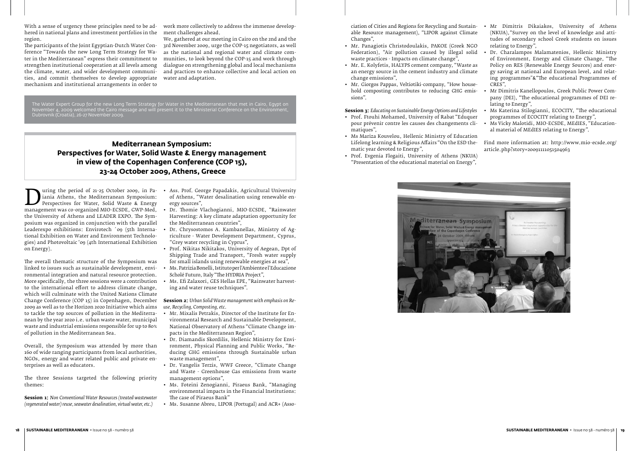The Water Expert Group for the new Long Term Strategy for Water in the Mediterranean that met in Cairo, Egypt on November 4, 2009 welcomed the Cairo message and will present it to the Ministerial Conference on the Environment, Dubrovnik (Croatia), 26-27 November 2009.

With a sense of urgency these principles need to be adhered in national plans and investment portfolios in the region.

The participants of the Joint Egyptian-Dutch Water Conference "Towards the new Long Term Strategy for Water in the Mediterranean" express their commitment to strengthen institutional cooperation at all levels among the climate, water, and wider development communities, and commit themselves to develop appropriate mechanism and institutional arrangements in order to

work more collectively to address the immense development challenges ahead.

During the period of 21-25 October 2009, in Pa-<br>
paramagement was co-organized MIO-ECSDE, GWP-Med,<br>
the University of Athens and LEADER EXPO. The Symiania Athens, the Mediterranean Symposium: Perspectives for Water, Solid Waste & Energy the University of Athens and LEADER EXPO. The Symposium was organized in conjunction with the parallel Leaderexpo exhibitions: Envirotech '09 (5th International Exhibition on Water and Environment Technologies) and Photovoltaic '09 (4th International Exhibition on Energy).

We, gathered at our meeting in Cairo on the 2nd and the 3rd November 2009, urge the COP-15 negotiators, as well as the national and regional water and climate communities, to look beyond the COP-15 and work through dialogue on strengthening global and local mechanisms and practices to enhance collective and local action on water and adaptation.

# **Mediterranean Symposium: Perspectives for Water, Solid Waste & Energy management in view of the Copenhagen Conference (COP 15), 23-24 October 2009, Athens, Greece**

- uring the period of 21-25 October 2009, in Pa- Ass. Prof. George Papadakis, Agricultural University of Athens, "Water desalination using renewable energy sources",
	- Dr. Thomie Vlachogianni, MIO-ECSDE, "Rainwater Harvesting: A key climate adaptation opportunity for the Mediterranean countries",
	- Dr. Chrysostomos A. Kambanellas, Ministry of Agriculture - Water Development Department, Cyprus, "Grey water recycling in Cyprus",
	- Prof. Nikitas Nikitakos, University of Aegean, Dpt of Shipping Trade and Transport, "Fresh water supply for small islands using renewable energies at sea",
	- Ms. Patrizia Bonelli, Istituto per l'Ambiente e l'Educazione Scholé Futuro, Italy "The HYDRIA Project",
	- Ms. Efi Zalaxori, GES Hellas EPE, "Rainwater harvesting and water reuse techniques".

The overall thematic structure of the Symposium was linked to issues such as sustainable development, environmental integration and natural resource protection. More specifically, the three sessions were a contribution to the international effort to address climate change, which will culminate with the United Nations Climate Change Conference (COP 15) in Copenhagen, December 2009 as well as to the Horizon 2020 Initiative which aims to tackle the top sources of pollution in the Mediterranean by the year 2020 i.e. urban waste water, municipal waste and industrial emissions responsible for up to 80% of pollution in the Mediterranean Sea.

Overall, the Symposium was attended by more than 160 of wide ranging participants from local authorities, NGOs, energy and water related public and private enterprises as well as educators.

The three Sessions targeted the following priority themes:

**Session 1:** *Non Conventional Water Resources (treated wastewater (regenerated water) reuse, seawater desalination, virtual water, etc.)*

**Session 2:** *Urban Solid Waste management with emphasis on Reuse, Recycling, Composting, etc.*

- Mr. Mixalis Petrakis, Director of the Institute for Environmental Research and Sustainable Development, National Observatory of Athens "Climate Change impacts in the Mediterranean Region",
- Dr. Diamandis Skordilis, Hellenic Ministry for Environment, Physical Planning and Public Works, "Reducing GHG emissions through Sustainable urban waste management",
- Dr. Vangelis Terzis, WWF Greece, "Climate Change and Waste - Greenhouse Gas emissions from waste management options",
- Ms. Foteini Zenogianni, Piraeus Bank, "Managing environmental impacts in the Financial Institutions: The case of Piraeus Bank"
- Ms. Susanne Abreu, LIPOR (Portugal) and ACR+ (Asso-

ciation of Cities and Regions for Recycling and Sustainable Resource management), "LIPOR against Climate Changes",

- Mr. Panagiotis Christodoulakis, PAKOE (Greek NGO Federation), "Air pollution caused by illegal solid waste practices - Impacts on climate change",
- Mr. Ε. Kolyfetis, HALYPS cement company, "Waste as an energy source in the cement industry and climate change emissions",
- Mr. Giorgos Pappas, Veltiotiki-company, "How household composting contributes to reducing GHG emissions".

**Session 3:** *Educating on Sustainable Energy Options and Lifestyles*

- Prof. Ftouhi Mohamed, University of Rabat "Eduquer pour prévenir contre les causes des changements climatiques",
- Ms Mariza Kouvelou, Hellenic Ministry of Education Lifelong learning & Religious Affairs "On the ESD thematic year devoted to Energy",
- Prof. Evgenia Flogaiti, University of Athens (NKUA) "Presentation of the educational material on Energy",



- Mr Dimitris Dikaiakos, University of Athens (NKUA),"Survey on the level of knowledge and attitudes of secondary school Greek students on issues relating to Energy",
- Dr. Charalampos Malamatenios, Hellenic Ministry of Environment, Energy and Climate Change, "The Policy on RES (Renewable Energy Sources) and energy saving at national and European level, and relating programmes"&"The educational Programmes of CRES",
- Mr Dimitris Kanellopoulos, Greek Public Power Company (DEI), "The educational programmes of DEI relating to Energy",
- Ms Katerina Stilogianni, ECOCITY, "The educational programmes of ECOCITY relating to Energy",
- Ms Vicky Malotidi, MIO-ECSDE, MEdIES, "Educational material of MEdIES relating to Energy".

Find more information at: http://www.mio-ecsde.org/ article.php?story=20091111051504963